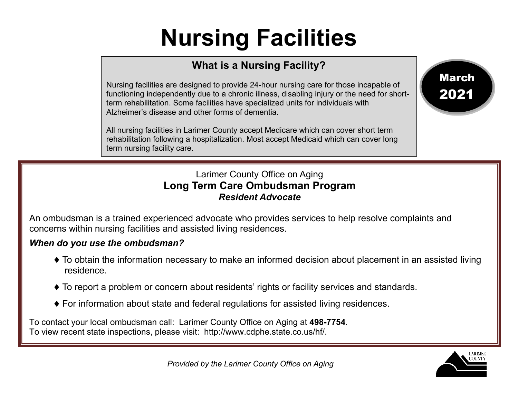## **Nursing Facilities**

## **What is a Nursing Facility?**

Nursing facilities are designed to provide 24-hour nursing care for those incapable of functioning independently due to a chronic illness, disabling injury or the need for shortterm rehabilitation. Some facilities have specialized units for individuals with Alzheimer's disease and other forms of dementia.

All nursing facilities in Larimer County accept Medicare which can cover short term rehabilitation following a hospitalization. Most accept Medicaid which can cover long term nursing facility care.

## Larimer County Office on Aging **Long Term Care Ombudsman Program** *Resident Advocate*

An ombudsman is a trained experienced advocate who provides services to help resolve complaints and concerns within nursing facilities and assisted living residences.

## *When do you use the ombudsman?*

- ♦ To obtain the information necessary to make an informed decision about placement in an assisted living residence.
- ♦ To report a problem or concern about residents' rights or facility services and standards.
- ♦ For information about state and federal regulations for assisted living residences.

To contact your local ombudsman call: Larimer County Office on Aging at **498-7754**. To view recent state inspections, please visit: http://www.cdphe.state.co.us/hf/.



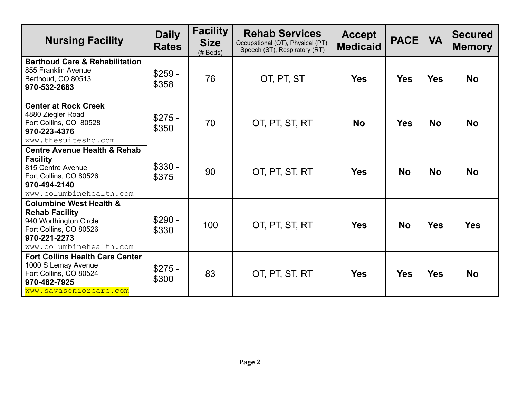| <b>Nursing Facility</b>                                                                                                                                    | <b>Daily</b><br><b>Rates</b> | <b>Facility</b><br><b>Size</b><br>$(H$ Beds) | <b>Rehab Services</b><br>Occupational (OT), Physical (PT),<br>Speech (ST), Respiratory (RT) | <b>Accept</b><br><b>Medicaid</b> | <b>PACE</b> | <b>VA</b>  | <b>Secured</b><br><b>Memory</b> |
|------------------------------------------------------------------------------------------------------------------------------------------------------------|------------------------------|----------------------------------------------|---------------------------------------------------------------------------------------------|----------------------------------|-------------|------------|---------------------------------|
| <b>Berthoud Care &amp; Rehabilitation</b><br>855 Franklin Avenue<br>Berthoud, CO 80513<br>970-532-2683                                                     | $$259 -$<br>\$358            | 76                                           | OT, PT, ST                                                                                  | <b>Yes</b>                       | <b>Yes</b>  | <b>Yes</b> | <b>No</b>                       |
| <b>Center at Rock Creek</b><br>4880 Ziegler Road<br>Fort Collins, CO 80528<br>970-223-4376<br>www.thesuiteshc.com                                          | $$275 -$<br>\$350            | 70                                           | OT, PT, ST, RT                                                                              | <b>No</b>                        | <b>Yes</b>  | <b>No</b>  | <b>No</b>                       |
| <b>Centre Avenue Health &amp; Rehab</b><br><b>Facility</b><br>815 Centre Avenue<br>Fort Collins, CO 80526<br>970-494-2140<br>www.columbinehealth.com       | $$330 -$<br>\$375            | 90                                           | OT, PT, ST, RT                                                                              | <b>Yes</b>                       | <b>No</b>   | <b>No</b>  | <b>No</b>                       |
| <b>Columbine West Health &amp;</b><br><b>Rehab Facility</b><br>940 Worthington Circle<br>Fort Collins, CO 80526<br>970-221-2273<br>www.columbinehealth.com | $$290 -$<br>\$330            | 100                                          | OT, PT, ST, RT                                                                              | <b>Yes</b>                       | <b>No</b>   | <b>Yes</b> | <b>Yes</b>                      |
| <b>Fort Collins Health Care Center</b><br>1000 S Lemay Avenue<br>Fort Collins, CO 80524<br>970-482-7925<br>www.savaseniorcare.com                          | $$275 -$<br>\$300            | 83                                           | OT, PT, ST, RT                                                                              | <b>Yes</b>                       | <b>Yes</b>  | <b>Yes</b> | <b>No</b>                       |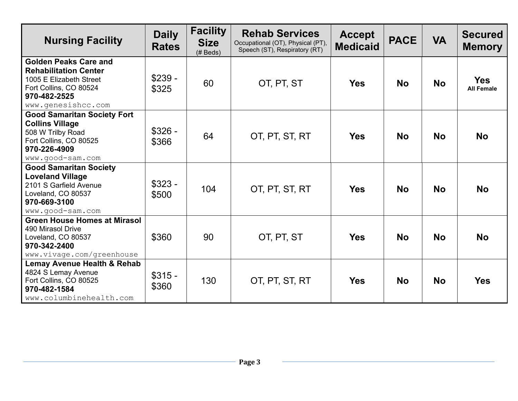| <b>Nursing Facility</b>                                                                                                                                 | <b>Daily</b><br><b>Rates</b> | <b>Facility</b><br><b>Size</b><br>$(H$ Beds) | <b>Rehab Services</b><br>Occupational (OT), Physical (PT),<br>Speech (ST), Respiratory (RT) | <b>Accept</b><br><b>Medicaid</b> | <b>PACE</b> | <b>VA</b> | <b>Secured</b><br><b>Memory</b> |
|---------------------------------------------------------------------------------------------------------------------------------------------------------|------------------------------|----------------------------------------------|---------------------------------------------------------------------------------------------|----------------------------------|-------------|-----------|---------------------------------|
| <b>Golden Peaks Care and</b><br><b>Rehabilitation Center</b><br>1005 E Elizabeth Street<br>Fort Collins, CO 80524<br>970-482-2525<br>www.qenesishcc.com | $$239 -$<br>\$325            | 60                                           | OT, PT, ST                                                                                  | <b>Yes</b>                       | <b>No</b>   | <b>No</b> | <b>Yes</b><br><b>All Female</b> |
| <b>Good Samaritan Society Fort</b><br><b>Collins Village</b><br>508 W Trilby Road<br>Fort Collins, CO 80525<br>970-226-4909<br>www.good-sam.com         | $$326 -$<br>\$366            | 64                                           | OT, PT, ST, RT                                                                              | <b>Yes</b>                       | <b>No</b>   | <b>No</b> | <b>No</b>                       |
| <b>Good Samaritan Society</b><br><b>Loveland Village</b><br>2101 S Garfield Avenue<br>Loveland, CO 80537<br>970-669-3100<br>www.good-sam.com            | $$323 -$<br>\$500            | 104                                          | OT, PT, ST, RT                                                                              | <b>Yes</b>                       | <b>No</b>   | <b>No</b> | <b>No</b>                       |
| <b>Green House Homes at Mirasol</b><br>490 Mirasol Drive<br>Loveland, CO 80537<br>970-342-2400<br>www.vivage.com/greenhouse                             | \$360                        | 90                                           | OT, PT, ST                                                                                  | <b>Yes</b>                       | <b>No</b>   | <b>No</b> | <b>No</b>                       |
| Lemay Avenue Health & Rehab<br>4824 S Lemay Avenue<br>Fort Collins, CO 80525<br>970-482-1584<br>www.columbinehealth.com                                 | $$315 -$<br>\$360            | 130                                          | OT, PT, ST, RT                                                                              | <b>Yes</b>                       | <b>No</b>   | <b>No</b> | <b>Yes</b>                      |